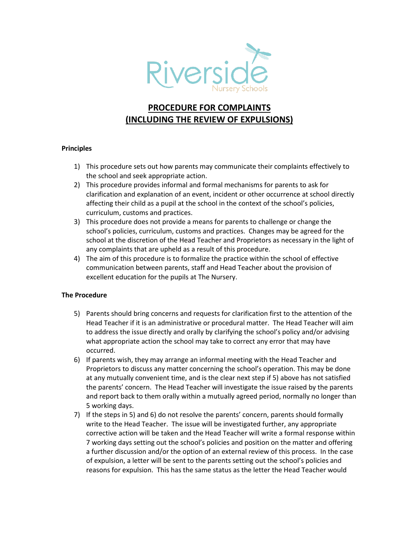

## **PROCEDURE FOR COMPLAINTS (INCLUDING THE REVIEW OF EXPULSIONS)**

## **Principles**

- 1) This procedure sets out how parents may communicate their complaints effectively to the school and seek appropriate action.
- 2) This procedure provides informal and formal mechanisms for parents to ask for clarification and explanation of an event, incident or other occurrence at school directly affecting their child as a pupil at the school in the context of the school's policies, curriculum, customs and practices.
- 3) This procedure does not provide a means for parents to challenge or change the school's policies, curriculum, customs and practices. Changes may be agreed for the school at the discretion of the Head Teacher and Proprietors as necessary in the light of any complaints that are upheld as a result of this procedure.
- 4) The aim of this procedure is to formalize the practice within the school of effective communication between parents, staff and Head Teacher about the provision of excellent education for the pupils at The Nursery.

## **The Procedure**

- 5) Parents should bring concerns and requests for clarification first to the attention of the Head Teacher if it is an administrative or procedural matter. The Head Teacher will aim to address the issue directly and orally by clarifying the school's policy and/or advising what appropriate action the school may take to correct any error that may have occurred.
- 6) If parents wish, they may arrange an informal meeting with the Head Teacher and Proprietors to discuss any matter concerning the school's operation. This may be done at any mutually convenient time, and is the clear next step if 5) above has not satisfied the parents' concern. The Head Teacher will investigate the issue raised by the parents and report back to them orally within a mutually agreed period, normally no longer than 5 working days.
- 7) If the steps in 5) and 6) do not resolve the parents' concern, parents should formally write to the Head Teacher. The issue will be investigated further, any appropriate corrective action will be taken and the Head Teacher will write a formal response within 7 working days setting out the school's policies and position on the matter and offering a further discussion and/or the option of an external review of this process. In the case of expulsion, a letter will be sent to the parents setting out the school's policies and reasons for expulsion. This has the same status as the letter the Head Teacher would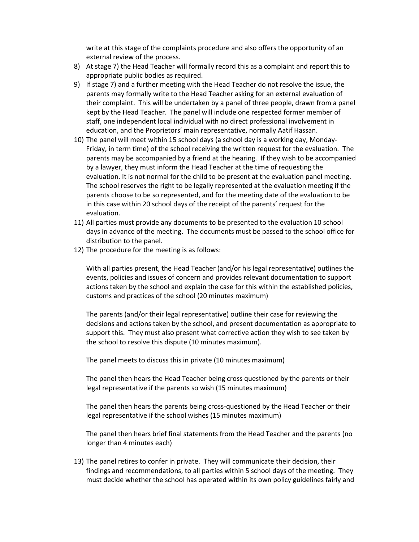write at this stage of the complaints procedure and also offers the opportunity of an external review of the process.

- 8) At stage 7) the Head Teacher will formally record this as a complaint and report this to appropriate public bodies as required.
- 9) If stage 7) and a further meeting with the Head Teacher do not resolve the issue, the parents may formally write to the Head Teacher asking for an external evaluation of their complaint. This will be undertaken by a panel of three people, drawn from a panel kept by the Head Teacher. The panel will include one respected former member of staff, one independent local individual with no direct professional involvement in education, and the Proprietors' main representative, normally Aatif Hassan.
- 10) The panel will meet within 15 school days (a school day is a working day, Monday-Friday, in term time) of the school receiving the written request for the evaluation. The parents may be accompanied by a friend at the hearing. If they wish to be accompanied by a lawyer, they must inform the Head Teacher at the time of requesting the evaluation. It is not normal for the child to be present at the evaluation panel meeting. The school reserves the right to be legally represented at the evaluation meeting if the parents choose to be so represented, and for the meeting date of the evaluation to be in this case within 20 school days of the receipt of the parents' request for the evaluation.
- 11) All parties must provide any documents to be presented to the evaluation 10 school days in advance of the meeting. The documents must be passed to the school office for distribution to the panel.
- 12) The procedure for the meeting is as follows:

With all parties present, the Head Teacher (and/or his legal representative) outlines the events, policies and issues of concern and provides relevant documentation to support actions taken by the school and explain the case for this within the established policies, customs and practices of the school (20 minutes maximum)

The parents (and/or their legal representative) outline their case for reviewing the decisions and actions taken by the school, and present documentation as appropriate to support this. They must also present what corrective action they wish to see taken by the school to resolve this dispute (10 minutes maximum).

The panel meets to discuss this in private (10 minutes maximum)

The panel then hears the Head Teacher being cross questioned by the parents or their legal representative if the parents so wish (15 minutes maximum)

The panel then hears the parents being cross-questioned by the Head Teacher or their legal representative if the school wishes (15 minutes maximum)

The panel then hears brief final statements from the Head Teacher and the parents (no longer than 4 minutes each)

13) The panel retires to confer in private. They will communicate their decision, their findings and recommendations, to all parties within 5 school days of the meeting. They must decide whether the school has operated within its own policy guidelines fairly and